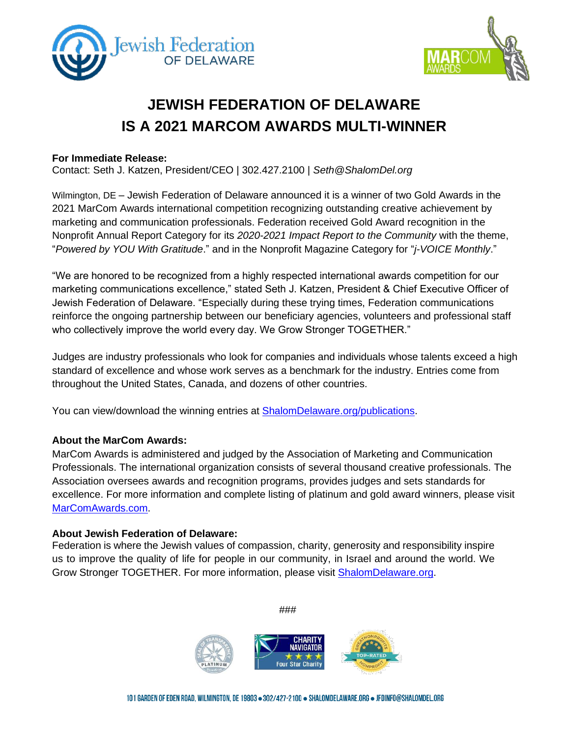



# **JEWISH FEDERATION OF DELAWARE IS A 2021 MARCOM AWARDS MULTI-WINNER**

#### **For Immediate Release:**

Contact: Seth J. Katzen, President/CEO | 302.427.2100 | *[Seth@ShalomDel.org](mailto:Seth@ShalomDel.org)*

Wilmington, DE – Jewish Federation of Delaware announced it is a winner of two Gold Awards in the 2021 MarCom Awards international competition recognizing outstanding creative achievement by marketing and communication professionals. Federation received Gold Award recognition in the Nonprofit Annual Report Category for its *2020-2021 Impact Report to the Community* with the theme, "*Powered by YOU With Gratitude*." and in the Nonprofit Magazine Category for "*j-VOICE Monthly*."

"We are honored to be recognized from a highly respected international awards competition for our marketing communications excellence," stated Seth J. Katzen, President & Chief Executive Officer of Jewish Federation of Delaware. "Especially during these trying times, Federation communications reinforce the ongoing partnership between our beneficiary agencies, volunteers and professional staff who collectively improve the world every day. We Grow Stronger TOGETHER."

Judges are industry professionals who look for companies and individuals whose talents exceed a high standard of excellence and whose work serves as a benchmark for the industry. Entries come from throughout the United States, Canada, and dozens of other countries.

You can view/download the winning entries at [ShalomDelaware.org/](https://www.shalomdelaware.org/file_download/inline/521326fa-e3e7-40c8-9611-0aecd6989f67)publications.

### **About the MarCom Awards:**

MarCom Awards is administered and judged by the Association of Marketing and Communication Professionals. The international organization consists of several thousand creative professionals. The Association oversees awards and recognition programs, provides judges and sets standards for excellence. For more information and complete listing of platinum and gold award winners, please visit MarComAwards.com.

#### **About Jewish Federation of Delaware:**

Federation is where the Jewish values of compassion, charity, generosity and responsibility inspire us to improve the quality of life for people in our community, in Israel and around the world. We Grow Stronger TOGETHER. For more information, please visit [ShalomDelaware.org.](http://www.shalomdelaware.org/)

**Four Star Charit** 

###